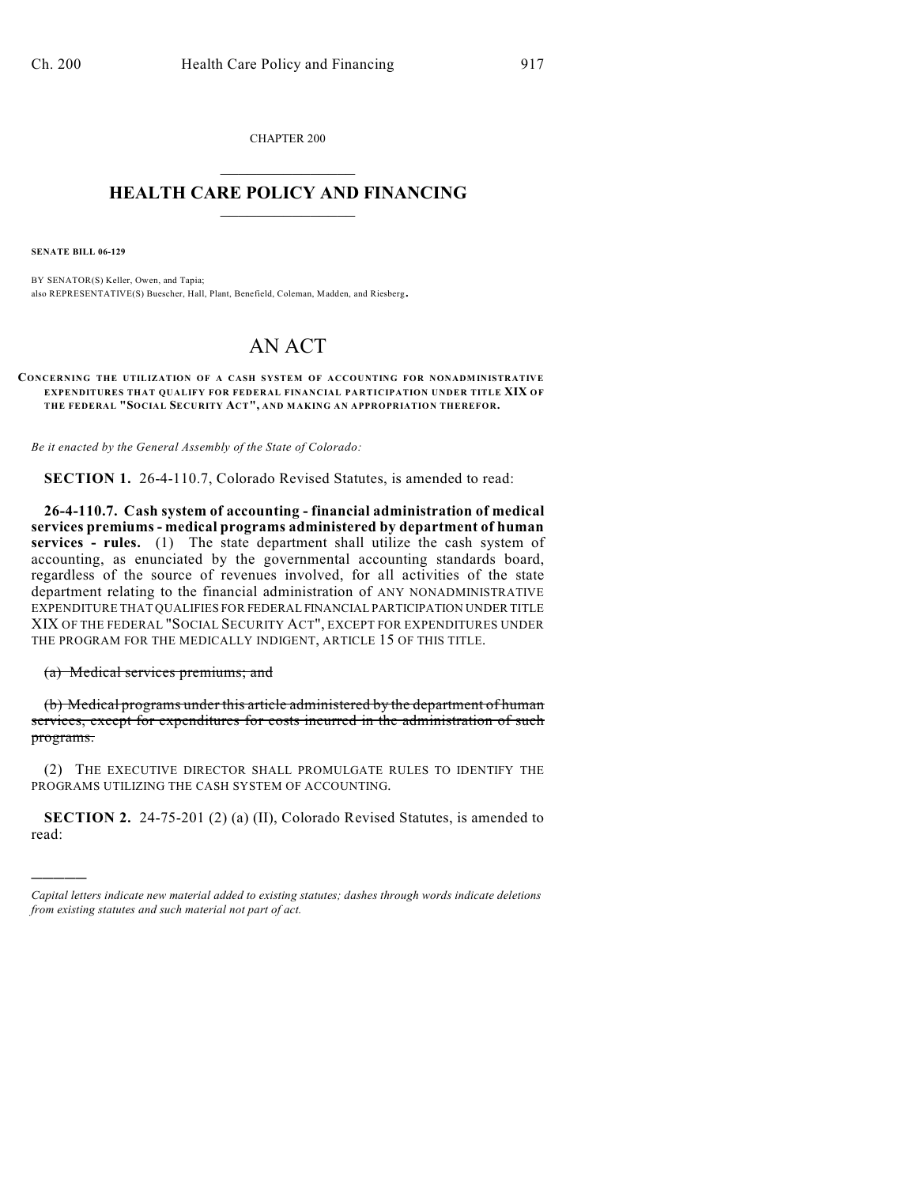CHAPTER 200  $\overline{\phantom{a}}$  . The set of the set of the set of the set of the set of the set of the set of the set of the set of the set of the set of the set of the set of the set of the set of the set of the set of the set of the set o

## **HEALTH CARE POLICY AND FINANCING**  $\_$   $\_$   $\_$   $\_$   $\_$   $\_$   $\_$   $\_$

**SENATE BILL 06-129**

BY SENATOR(S) Keller, Owen, and Tapia; also REPRESENTATIVE(S) Buescher, Hall, Plant, Benefield, Coleman, Madden, and Riesberg.

## AN ACT

**CONCERNING THE UTILIZATION OF A CASH SYSTEM OF ACCOUNTING FOR NONADMINISTRATIVE EXPENDITURES THAT QUALIFY FOR FEDERAL FINANCIAL PARTICIPATION UNDER TITLE XIX OF THE FEDERAL "SOCIAL SECURITY ACT", AND MAKING AN APPROPRIATION THEREFOR.**

*Be it enacted by the General Assembly of the State of Colorado:*

**SECTION 1.** 26-4-110.7, Colorado Revised Statutes, is amended to read:

**26-4-110.7. Cash system of accounting - financial administration of medical services premiums - medical programs administered by department of human** services - rules. (1) The state department shall utilize the cash system of accounting, as enunciated by the governmental accounting standards board, regardless of the source of revenues involved, for all activities of the state department relating to the financial administration of ANY NONADMINISTRATIVE EXPENDITURE THAT QUALIFIES FOR FEDERAL FINANCIAL PARTICIPATION UNDER TITLE XIX OF THE FEDERAL "SOCIAL SECURITY ACT", EXCEPT FOR EXPENDITURES UNDER THE PROGRAM FOR THE MEDICALLY INDIGENT, ARTICLE 15 OF THIS TITLE.

(a) Medical services premiums; and

)))))

(b) Medical programs under this article administered by the department of human services, except for expenditures for costs incurred in the administration of such programs.

(2) THE EXECUTIVE DIRECTOR SHALL PROMULGATE RULES TO IDENTIFY THE PROGRAMS UTILIZING THE CASH SYSTEM OF ACCOUNTING.

**SECTION 2.** 24-75-201 (2) (a) (II), Colorado Revised Statutes, is amended to read:

*Capital letters indicate new material added to existing statutes; dashes through words indicate deletions from existing statutes and such material not part of act.*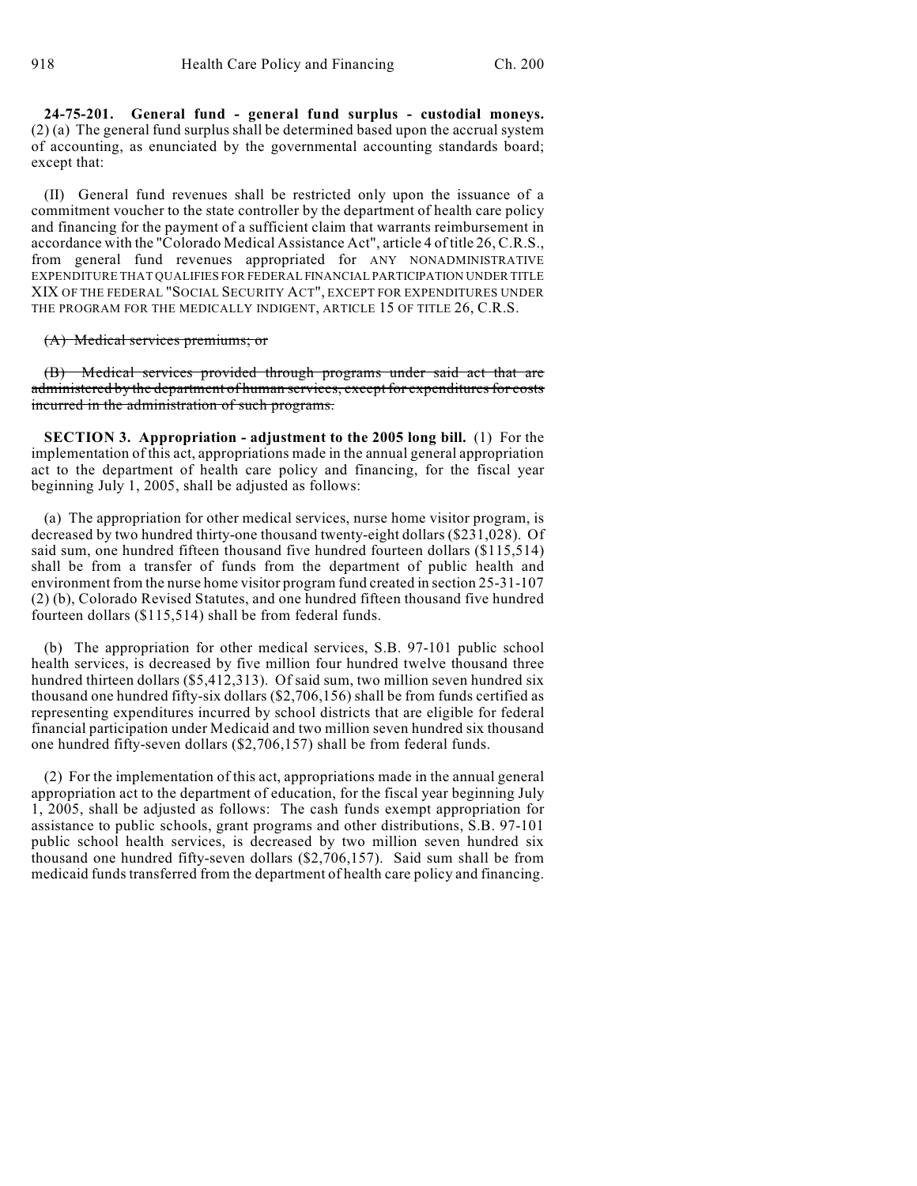**24-75-201. General fund - general fund surplus - custodial moneys.** (2) (a) The general fund surplus shall be determined based upon the accrual system of accounting, as enunciated by the governmental accounting standards board; except that:

(II) General fund revenues shall be restricted only upon the issuance of a commitment voucher to the state controller by the department of health care policy and financing for the payment of a sufficient claim that warrants reimbursement in accordance with the "Colorado Medical Assistance Act", article 4 of title 26, C.R.S., from general fund revenues appropriated for ANY NONADMINISTRATIVE EXPENDITURE THAT QUALIFIES FOR FEDERAL FINANCIAL PARTICIPATION UNDER TITLE XIX OF THE FEDERAL "SOCIAL SECURITY ACT", EXCEPT FOR EXPENDITURES UNDER THE PROGRAM FOR THE MEDICALLY INDIGENT, ARTICLE 15 OF TITLE 26, C.R.S.

(A) Medical services premiums; or

(B) Medical services provided through programs under said act that are administered by the department of human services, except for expenditures for costs incurred in the administration of such programs.

**SECTION 3. Appropriation - adjustment to the 2005 long bill.** (1) For the implementation of this act, appropriations made in the annual general appropriation act to the department of health care policy and financing, for the fiscal year beginning July 1, 2005, shall be adjusted as follows:

(a) The appropriation for other medical services, nurse home visitor program, is decreased by two hundred thirty-one thousand twenty-eight dollars (\$231,028). Of said sum, one hundred fifteen thousand five hundred fourteen dollars (\$115,514) shall be from a transfer of funds from the department of public health and environment from the nurse home visitor program fund created in section 25-31-107 (2) (b), Colorado Revised Statutes, and one hundred fifteen thousand five hundred fourteen dollars (\$115,514) shall be from federal funds.

(b) The appropriation for other medical services, S.B. 97-101 public school health services, is decreased by five million four hundred twelve thousand three hundred thirteen dollars (\$5,412,313). Of said sum, two million seven hundred six thousand one hundred fifty-six dollars (\$2,706,156) shall be from funds certified as representing expenditures incurred by school districts that are eligible for federal financial participation under Medicaid and two million seven hundred six thousand one hundred fifty-seven dollars (\$2,706,157) shall be from federal funds.

(2) For the implementation of this act, appropriations made in the annual general appropriation act to the department of education, for the fiscal year beginning July 1, 2005, shall be adjusted as follows: The cash funds exempt appropriation for assistance to public schools, grant programs and other distributions, S.B. 97-101 public school health services, is decreased by two million seven hundred six thousand one hundred fifty-seven dollars (\$2,706,157). Said sum shall be from medicaid funds transferred from the department of health care policy and financing.